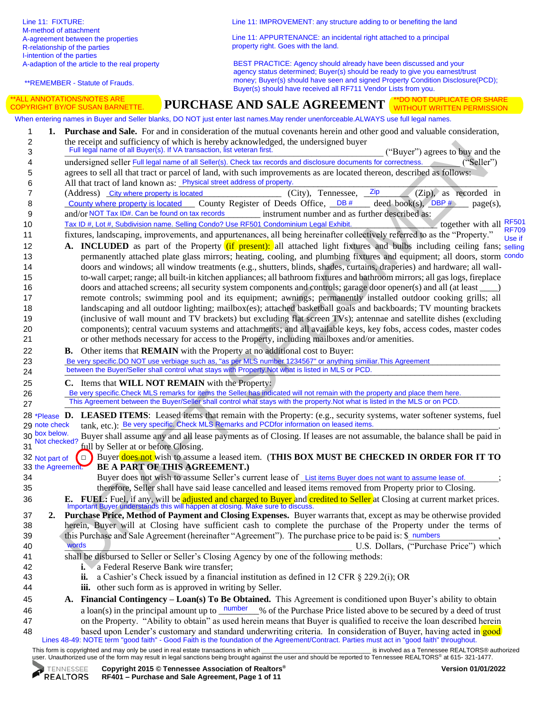\*\*REMEMBER - Statute of Frauds.

Line 11: IMPROVEMENT: any structure adding to or benefiting the land

Line 11: APPURTENANCE: an incidental right attached to a principal property right. Goes with the land.

BEST PRACTICE: Agency should already have been discussed and your agency status determined; Buyer(s) should be ready to give you earnest/trust money; Buyer(s) should have seen and signed Property Condition Disclosure(PCD); Buyer(s) should have received all RF711 Vendor Lists from you.

## The Receiving and the three interests of the matter spectral contents of the spectral contents of the spectral contents of the spectral contents of the spectral contents of the spectral contents of the spectral contents o **PURCHASE AND SALE AGREEMENT** \*\*DO NOT DUPLICATE OR SHARE 1 **1. Purchase and Sale.** For and in consideration of the mutual covenants herein and other good and valuable consideration, 2 the receipt and sufficiency of which is hereby acknowledged, the undersigned buyer 3 Full legal name of all Buyer(s). If VA transaction, list veteran first. ("Buyer") agrees to buy and the 4 undersigned seller Full legal name of all Seller(s). Check tax records and disclosure documents for correctness. ("Seller") 5 agrees to sell all that tract or parcel of land, with such improvements as are located thereon, described as follows: 6 All that tract of land known as: <u>Physical street address of property</u>. 7 (Address) City where property is located (City), Tennessee, <sup>Zip</sup> (Zip), as recorded in 8 County where property is located County Register of Deeds Office,  $\Box$ DB  $\#$  deed book(s),  $\Box$ BP  $\#$  page(s), 9 and/or NOT Tax ID#. Can be found on tax records instrument number and as further described as: 10 Tax ID #, Lot #, Subdivision name. Selling Condo? Use RF501 Condominium Legal Exhibit. together with all 11 fixtures, landscaping, improvements, and appurtenances, all being hereinafter collectively referred to as the "Property." 12 **A. INCLUDED** as part of the Property (if present): all attached light fixtures and bulbs including ceiling fans; selling 13 permanently attached plate glass mirrors; heating, cooling, and plumbing fixtures and equipment; all doors, storm condo 14 doors and windows; all window treatments (e.g., shutters, blinds, shades, curtains, draperies) and hardware; all wall-15 to-wall carpet; range; all built-in kitchen appliances; all bathroom fixtures and bathroom mirrors; all gas logs, fireplace 16 doors and attached screens; all security system components and controls; garage door opener(s) and all (at least  $\qquad$ ) 17 remote controls; swimming pool and its equipment; awnings; permanently installed outdoor cooking grills; all 18 landscaping and all outdoor lighting; mailbox(es); attached basketball goals and backboards; TV mounting brackets 19 (inclusive of wall mount and TV brackets) but excluding flat screen TVs); antennae and satellite dishes (excluding 20 components); central vacuum systems and attachments; and all available keys, key fobs, access codes, master codes 21 or other methods necessary for access to the Property, including mailboxes and/or amenities. 22 **B.** Other items that **REMAIN** with the Property at no additional cost to Buyer: 23 **Be very specific.DO NOT use verbiage such as, "as per MLS number 1234567" or anything similiar. This Agreement** 24 between the Buyer/Seller shall control what stays with Property.Not what is listed in MLS or PCD. 25 **C.** Items that **WILL NOT REMAIN** with the Property: 26 Be very specific.Check MLS remarks for items the Seller has indicated will not remain with the property and place them here. 27 This Agreement between the Buyer/Seller shall control what stays with the property.Not what is listed in the MLS or on PCD. 28 \*Please D. LEASED ITEMS: Leased items that remain with the Property: (e.g., security systems, water softener systems, fuel 29 note check tank, etc.): Be very specific. Check MLS Remarks and PCDfor information on leased items. 30 Buyer shall assume any and all lease payments as of Closing. If leases are not assumable, the balance shall be paid in 31 **Full by Seller at or before Closing.** 32 □ Buyer does not wish to assume a leased item. (**THIS BOX MUST BE CHECKED IN ORDER FOR IT TO**  33 **BE A PART OF THIS AGREEMENT.)** 34 Buyer does not wish to assume Seller's current lease of List items Buyer does not want to assume lease of. 35 therefore, Seller shall have said lease cancelled and leased items removed from Property prior to Closing. **E.** FUEL: Fuel, if any, will be adjusted and charged to Buyer and credited to Seller at Closing at current market prices.<br>Important Buyer understands this will happen at closing. Make sure to discuss. 37 **2. Purchase Price, Method of Payment and Closing Expenses.** Buyer warrants that, except as may be otherwise provided 38 herein, Buyer will at Closing have sufficient cash to complete the purchase of the Property under the terms of 39 this Purchase and Sale Agreement (hereinafter "Agreement"). The purchase price to be paid is:  $\frac{1}{2}$  numbers , 40 Words Words and the settlement of the settlement of the U.S. Dollars, ("Purchase Price") which 41 shall be disbursed to Seller or Seller's Closing Agency by one of the following methods: 42 **i.** a Federal Reserve Bank wire transfer; 43 **ii.** a Cashier's Check issued by a financial institution as defined in 12 CFR § 229.2(i); OR 44 **iii.** other such form as is approved in writing by Seller. 45 **A. Financial Contingency – Loan(s) To Be Obtained.** This Agreement is conditioned upon Buyer's ability to obtain 46 a loan(s) in the principal amount up to <u>number</u> % of the Purchase Price listed above to be secured by a deed of trust 47 on the Property. "Ability to obtain" as used herein means that Buyer is qualified to receive the loan described herein 48 based upon Lender's customary and standard underwriting criteria. In consideration of Buyer, having acted in good When entering names in Buyer and Seller blanks, DO NOT just enter last names.May render unenforceable.ALWAYS use full legal names. and/or NOT Tax ID#. Can be found on tax records 29 note check box below. Not checked? 32 Not part of 33 the Agreement. words \*ALL ANNOTATIONS/NOTES ARE COPYRIGHT BY/OF SUSAN BARNETTE. WITHOUT WRITTEN PERMISSION together with all RF501 RF709 Use if

This form is copyrighted and may only be used in real estate transactions in which \_\_\_\_\_\_\_\_\_\_\_\_\_\_\_\_\_\_\_\_\_\_\_\_\_\_\_\_\_\_\_ is involved as a Tennessee REALTORS® authorized Lines 48-49: NOTE term "good faith" - Good Faith is the foundation of the Agreement/Contract. Parties must act in "good faith" throughout.

user. Unauthorized use of the form may result in legal sanctions being brought against the user and should be reported to Tennessee REALTORS® at 615- 321-1477.

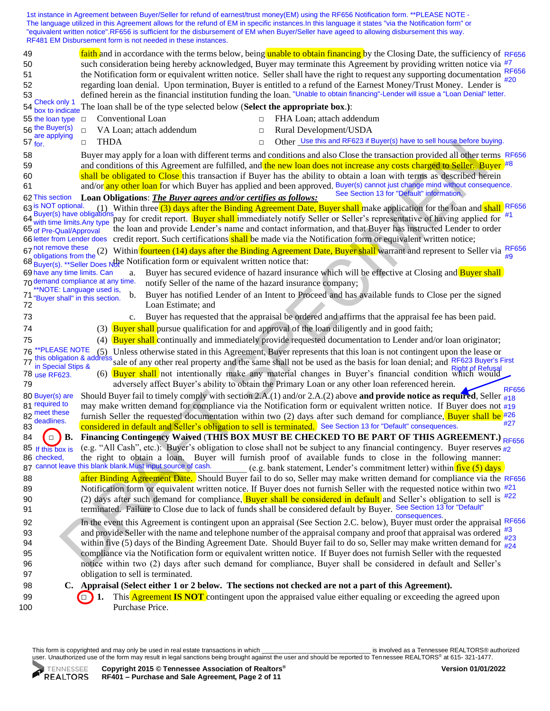1st instance in Agreement between Buyer/Seller for refund of earnest/trust money(EM) using the RF656 Notification form. \*\*PLEASE NOTE - The language utilized in this Agreement allows for the refund of EM in specific instances.In this language it states "via the Notification form" or "equivalent written notice".RF656 is sufficient for the disbursement of EM when Buyer/Seller have ageed to allowing disbursement this way. RF481 EM Disbursement form is not needed in these instances.

| faith and in accordance with the terms below, being unable to obtain financing by the Closing Date, the sufficiency of RF656<br>49                                                                                                                                            |
|-------------------------------------------------------------------------------------------------------------------------------------------------------------------------------------------------------------------------------------------------------------------------------|
| such consideration being hereby acknowledged, Buyer may terminate this Agreement by providing written notice via #7<br>50                                                                                                                                                     |
| <b>RF656</b><br>the Notification form or equivalent written notice. Seller shall have the right to request any supporting documentation<br>51<br>20                                                                                                                           |
| regarding loan denial. Upon termination, Buyer is entitled to a refund of the Earnest Money/Trust Money. Lender is<br>52                                                                                                                                                      |
| defined herein as the financial institution funding the loan. "Unable to obtain financing"-Lender will issue a "Loan Denial" letter.<br>53<br>54 Check only 1                                                                                                                 |
| box to indicate The loan shall be of the type selected below (Select the appropriate box.):                                                                                                                                                                                   |
| Conventional Loan<br>FHA Loan; attach addendum<br>55 the loan type<br>$\Box$                                                                                                                                                                                                  |
| 56 the Buyer(s)<br>VA Loan; attach addendum<br>Rural Development/USDA<br>$\Box$<br>$\Box$<br>are applying                                                                                                                                                                     |
| Other Use this and RF623 if Buyer(s) have to sell house before buying.<br>$57 \frac{C}{100}$<br><b>THDA</b><br>$\Box$<br>$\Box$                                                                                                                                               |
| 58<br>Buyer may apply for a loan with different terms and conditions and also Close the transaction provided all other terms RF656                                                                                                                                            |
| and conditions of this Agreement are fulfilled, and the new loan does not increase any costs charged to Seller. Buyer <sup>#8</sup><br>59                                                                                                                                     |
| shall be obligated to Close this transaction if Buyer has the ability to obtain a loan with terms as described herein<br>60                                                                                                                                                   |
| and/or any other loan for which Buyer has applied and been approved. Buyer(s) cannot just change mind without consequence.<br>61                                                                                                                                              |
| See Section 13 for "Default" information.<br>Loan Obligations: The Buyer agrees and/or certifies as follows:                                                                                                                                                                  |
| 63 IS NOT optional. (1) Within three (3) days after the Binding Agreement Date, Buyer shall make application for the loan and shall RF656 bayer (s) have obligations pay for credit renormal shall immediately negligible in                                                  |
| pay for credit report. Buyer shall immediately notify Seller or Seller's representative of having applied for<br>with time limits.Any type                                                                                                                                    |
| the loan and provide Lender's name and contact information, and that Buyer has instructed Lender to order<br>65 of Pre-Qual/Approval                                                                                                                                          |
| credit report. Such certifications shall be made via the Notification form or equivalent written notice;<br>66 letter from Lender does                                                                                                                                        |
| 67 not remove these<br>Within fourteen (14) days after the Binding Agreement Date, Buyer shall warrant and represent to Seller via RF656<br>(2)                                                                                                                               |
| obligations from the<br>#9<br>68 Buyer(s). ** Seller Does Nthe Notification form or equivalent written notice that:                                                                                                                                                           |
| Buyer has secured evidence of hazard insurance which will be effective at Closing and Buyer shall<br>69 have any time limits. Can<br>a.                                                                                                                                       |
| 70 demand compliance at any time.<br>notify Seller of the name of the hazard insurance company;                                                                                                                                                                               |
| **NOTE: Language used is,<br>Buyer has notified Lender of an Intent to Proceed and has available funds to Close per the signed<br>b.                                                                                                                                          |
| 71 "Buyer shall" in this section.<br>72<br>Loan Estimate; and                                                                                                                                                                                                                 |
| 73<br>Buyer has requested that the appraisal be ordered and affirms that the appraisal fee has been paid.<br>$c_{\cdot}$                                                                                                                                                      |
| (3) <b>Buyer shall</b> pursue qualification for and approval of the loan diligently and in good faith;<br>74                                                                                                                                                                  |
| (4) Buyer shall continually and immediately provide requested documentation to Lender and/or loan originator;                                                                                                                                                                 |
| 75<br>*PLEASE NOTE                                                                                                                                                                                                                                                            |
| (5) Unless otherwise stated in this Agreement, Buyer represents that this loan is not contingent upon the lease or<br>76<br>77 this obligation & address sale of any other real property and the same shall not be used as the basis for loan denial; and RF623 Buyer's First |
| in Special Stips &<br>(6) Buyer shall not intentionally make any material changes in Buyer's financial condition which would                                                                                                                                                  |
| 78 use RF623.                                                                                                                                                                                                                                                                 |
| adversely affect Buyer's ability to obtain the Primary Loan or any other loan referenced herein.<br>79<br><b>RF656</b>                                                                                                                                                        |
| Should Buyer fail to timely comply with section 2.A.(1) and/or 2.A.(2) above <b>and provide notice as required</b> , Seller $\frac{u}{418}$<br>80 Buyer(s) are<br>81 required to                                                                                              |
| may make written demand for compliance via the Notification form or equivalent written notice. If Buyer does not #19<br>82 meet these                                                                                                                                         |
| furnish Seller the requested documentation within two (2) days after such demand for compliance, Buyer shall be $\#26$<br>deadlines.<br>#27<br>considered in default and Seller's obligation to sell is terminated. See Section 13 for "Default" consequences.<br>83          |
| Financing Contingency Waived (THIS BOX MUST BE CHECKED TO BE PART OF THIS AGREEMENT.) RF656<br>84<br><b>B.</b>                                                                                                                                                                |
| (e.g. "All Cash", etc.): Buyer's obligation to close shall not be subject to any financial contingency. Buyer reserves $\frac{17}{42}$<br>85 If this box is                                                                                                                   |
| the right to obtain a loan. Buyer will furnish proof of available funds to close in the following manner:<br>86 checked,                                                                                                                                                      |
| 87 cannot leave this blank blank. Must input source of cash.<br>(e.g. bank statement, Lender's commitment letter) within $\frac{five(5) \text{ days}}{f}$                                                                                                                     |
| after Binding Agreement Date. Should Buyer fail to do so, Seller may make written demand for compliance via the RF656<br>88                                                                                                                                                   |
| Notification form or equivalent written notice. If Buyer does not furnish Seller with the requested notice within two $\frac{\#21}{2}$<br>89                                                                                                                                  |
| (2) days after such demand for compliance, Buyer shall be considered in default and Seller's obligation to sell is <sup>#22</sup><br>90                                                                                                                                       |
| terminated. Failure to Close due to lack of funds shall be considered default by Buyer. See Section 13 for "Default"<br>91                                                                                                                                                    |
| consequences.<br>In the event this Agreement is contingent upon an appraisal (See Section 2.C. below), Buyer must order the appraisal RF656<br>92                                                                                                                             |
| and provide Seller with the name and telephone number of the appraisal company and proof that appraisal was ordered $\frac{43}{400}$<br>93                                                                                                                                    |
| #23<br>within five (5) days of the Binding Agreement Date. Should Buyer fail to do so, Seller may make written demand for $\frac{\pi 20}{\pi 24}$<br>94                                                                                                                       |
| compliance via the Notification form or equivalent written notice. If Buyer does not furnish Seller with the requested<br>95                                                                                                                                                  |
| notice within two (2) days after such demand for compliance, Buyer shall be considered in default and Seller's<br>96                                                                                                                                                          |
| obligation to sell is terminated.<br>97                                                                                                                                                                                                                                       |
| C. Appraisal (Select either 1 or 2 below. The sections not checked are not a part of this Agreement).<br>98                                                                                                                                                                   |
| This <b>Agreement IS NOT</b> contingent upon the appraised value either equaling or exceeding the agreed upon<br>99<br>1.                                                                                                                                                     |
| Purchase Price.<br>100                                                                                                                                                                                                                                                        |

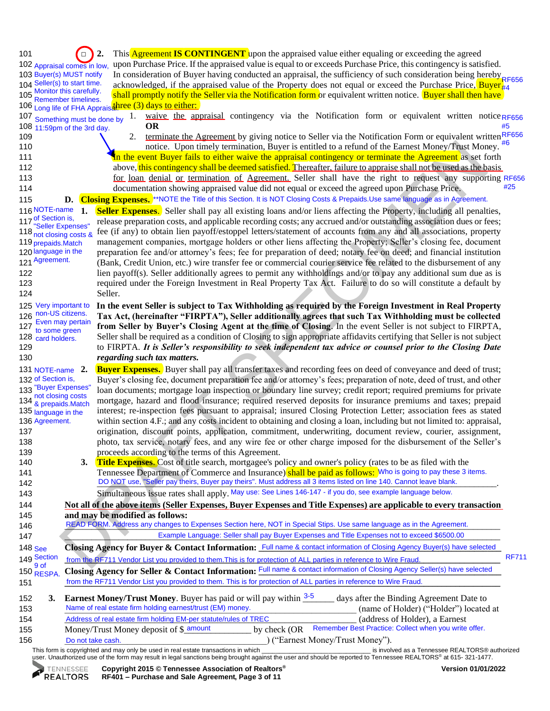**The contribution interimental contribution interimental contribution interimental control of the Farmer Mathematical control of the Farmer Control of the Farmer Scheme and the Control of the Control of the Control of the** This form is copyrighted and may only be used in real estate transactions in which \_\_\_\_\_\_\_\_\_\_\_\_\_\_\_\_\_\_\_\_\_\_\_\_\_\_\_\_\_\_\_ is involved as a Tennessee REALTORS® authorized 101  $\Box$  **2.** This Agreement **IS CONTINGENT** upon the appraised value either equaling or exceeding the agreed 102 upon Purchase Price. If the appraised value is equal to or exceeds Purchase Price, this contingency is satisfied. 103 Buyer(s) MUST notify In consideration of Buyer having conducted an appraisal, the sufficiency of such consideration being hereby RF656 104 Seller(s) to start time. acknowledged, if the appraised value of the Property does not equal or exceed the Purchase Price, Buyer  $\frac{1}{4}$ 105 notified the Selection state of the Seller via the Notification form or equivalent written notice. Buyer shall then have 106 Long life of FHA Appraisance (3) days to either: 107 Something must be done by 1. waive the appraisal contingency via the Notification form or equivalent written notice RF656 108 **11:59pm** of the 3rd day. **OR** 109 2. terminate the Agreement by giving notice to Seller via the Notification Form or equivalent written  $R_F656$ 110 notice. Upon timely termination, Buyer is entitled to a refund of the Earnest Money/Trust Money. #6 111 **In the event Buyer fails to either waive the appraisal contingency or terminate the Agreement** as set forth 112 above, this contingency shall be deemed satisfied. Thereafter, failure to appraise shall not be used as the basis 113 **for loan denial or termination of Agreement**. Seller shall have the right to request any supporting RF656 114 documentation showing appraised value did not equal or exceed the agreed upon Purchase Price. 115 **D.** Closing Expenses. The Title of this Section. It is NOT Closing Costs & Prepaids.Use same language as in Agreement. **Seller Expenses.** Seller shall pay all existing loans and/or liens affecting the Property, including all penalties, release preparation costs, and applicable recording costs; any accrued and/or outstanding association dues or fees; fee (if any) to obtain lien payoff/estoppel letters/statement of accounts from any and all associations, property management companies, mortgage holders or other liens affecting the Property; Seller's closing fee, document preparation fee and/or attorney's fees; fee for preparation of deed; notary fee on deed; and financial institution 121 (Bank, Credit Union, etc.) wire transfer fee or commercial courier service fee related to the disbursement of any 122 lien payoff(s). Seller additionally agrees to permit any withholdings and/or to pay any additional sum due as is 123 required under the Foreign Investment in Real Property Tax Act. Failure to do so will constitute a default by 124 Seller. 125 **In the event Seller is subject to Tax Withholding as required by the Foreign Investment in Real Property**  126 **Tax Act, (hereinafter "FIRPTA"), Seller additionally agrees that such Tax Withholding must be collected**  127 **from Seller by Buyer's Closing Agent at the time of Closing**. In the event Seller is not subject to FIRPTA, Seller shall be required as a condition of Closing to sign appropriate affidavits certifying that Seller is not subject 129 to FIRPTA. *It is Seller's responsibility to seek independent tax advice or counsel prior to the Closing Date*  130 *regarding such tax matters.* **Buyer Expenses.** Buyer shall pay all transfer taxes and recording fees on deed of conveyance and deed of trust; Buyer's closing fee, document preparation fee and/or attorney's fees; preparation of note, deed of trust, and other loan documents; mortgage loan inspection or boundary line survey; credit report; required premiums for private 134 mortgage, hazard and flood insurance; required reserved deposits for insurance premiums and taxes; prepaid interest; re-inspection fees pursuant to appraisal; insured Closing Protection Letter; association fees as stated within section 4.F.; and any costs incident to obtaining and closing a loan, including but not limited to: appraisal, 137 origination, discount points, application, commitment, underwriting, document review, courier, assignment, 138 photo, tax service, notary fees, and any wire fee or other charge imposed for the disbursement of the Seller's 139 proceeds according to the terms of this Agreement. 140 **3. Title Expenses**. Cost of title search, mortgagee's policy and owner's policy (rates to be as filed with the 141 Tennessee Department of Commerce and Insurance) shall be paid as follows: Who is going to pay these 3 items. 142 **DO NOT** use, "Seller pay theirs, Buyer pay theirs". Must address all 3 items listed on line 140. Cannot leave blank. 143 Simultaneous issue rates shall apply. May use: See Lines 146-147 - if you do, see example language below. 144 **Not all of the above items (Seller Expenses, Buyer Expenses and Title Expenses) are applicable to every transaction**  145 **and may be modified as follows:** 146 **READ FORM. Address any changes to Expenses Section here, NOT in Special Stips. Use same language as in the Agreement.** 147 **Example Language: Seller shall pay Buyer Expenses and Title Expenses not to exceed \$6500.00** 148 See Closing Agency for Buyer & Contact Information: Full name & contact information of Closing Agency Buyer(s) have selected 149 Section from the RF711 Vendor List you provided to them. This is for protection of ALL parties in reference to Wire Fraud. 150 **RESPA.** Closing Agency for Seller & Contact Information: **Full name & contact information of Closing Agency Seller(s) have selected** 151 **\_\_\_\_\_\_\_\_\_\_\_\_\_\_\_\_\_\_\_\_\_\_\_\_\_\_\_\_\_\_\_\_\_\_\_\_\_\_\_\_\_\_\_\_\_\_\_\_\_\_\_\_\_\_\_\_\_\_\_\_\_\_\_\_\_\_\_\_\_\_\_\_\_\_\_\_\_\_\_\_\_\_\_\_\_\_\_\_\_\_\_\_\_\_\_\_\_** from the RF711 Vendor List you provided to them. This is for protection of ALL parties in reference to Wire Fraud. 152 **3. Earnest Money/Trust Money**. Buyer has paid or will pay within  $\frac{3-5}{2}$  days after the Binding Agreement Date to 153 Name of real estate firm holding earnest/trust (EM) money. (name of Holder) ("Holder") located at 154 Address of real estate firm holding EM-per statute/rules of TREC (address of Holder), a Earnest 155 Money/Trust Money deposit of \$\_amount \_\_\_\_\_\_\_\_\_ by check (OR 156 Do not take cash.  $\Box$  Do not take cash.  $\Box$  ("Earnest Money/Trust Money"). 102 Appraisal comes in low, 103 Buyer(s) MUST notify 104 Seller(s) to start time. Monitor this carefully. Remember timelines. Something must be done by 125 Very important to 126 non-US citizens. Even may pertain to some green 128 card holders. 116 NOTE-name of Section is, "Seller Expenses" 118 not closing costs & 119 prepaids.Match 120 language in the 121 Agreement. 131 NOTE-name  $2$ . 132 of Section is, 133 <sup>"Buyer</sup> Expenses not closing costs 134 & prepaids.Match 135 language in the 136 Agreement. 148 See 149 Section 150 9 of<br>150 RESPA. Do not take cash. Remember Best Practice: Collect when you write offer. #5 #25 RF711

user. Unauthorized use of the form may result in legal sanctions being brought against the user and should be reported to Tennessee REALTORS® at 615- 321-1477.

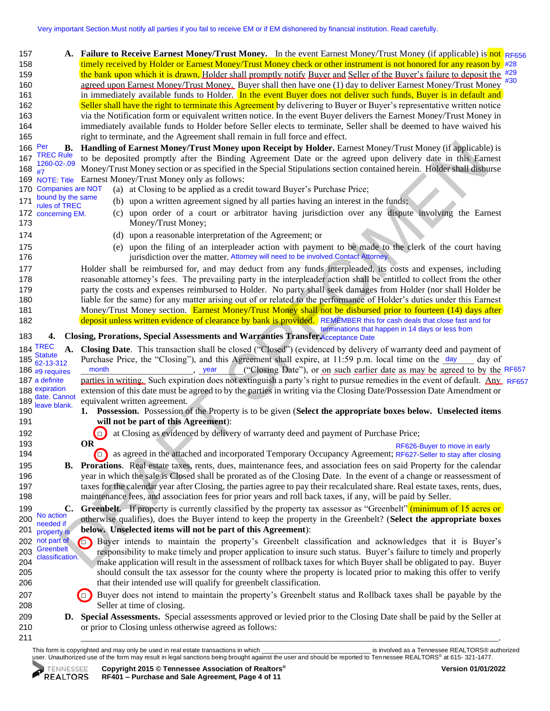157 **A.** Failure to Receive Earnest Money/Trust Money. In the event Earnest Money/Trust Money (if applicable) is not RF656 158 timely received by Holder or Earnest Money/Trust Money check or other instrument is not honored for any reason by #28 159 the bank upon which it is drawn, Holder shall promptly notify Buyer and Seller of the Buyer's failure to deposit the <sup>#29</sup> 160 agreed upon Earnest Money/Trust Money. Buyer shall then have one (1) day to deliver Earnest Money/Trust Money 161 in immediately available funds to Holder. In the event Buyer does not deliver such funds, Buyer is in default and 162 Seller shall have the right to terminate this Agreement by delivering to Buyer or Buyer's representative written notice 163 via the Notification form or equivalent written notice. In the event Buyer delivers the Earnest Money/Trust Money in 164 immediately available funds to Holder before Seller elects to terminate, Seller shall be deemed to have waived his 165 right to terminate, and the Agreement shall remain in full force and effect. #30

- 170 Companies are NOT (a) at Closing to be applied as a credit toward Buyer's Purchase Price; Companies are NOT
- 171 buding the same (b) upon a written agreement signed by all parties having an interest in the funds; bound by the same rules of TREC
- 172 (c) upon order of a court or arbitrator having jurisdiction over any dispute involving the Earnest 173 Money/Trust Money; 172 concerning EM.
- 174 (d) upon a reasonable interpretation of the Agreement; or
- 175 (e) upon the filing of an interpleader action with payment to be made to the clerk of the court having 176 **176** jurisdiction over the matter. Attorney will need to be involved.Contact Attorney.
- 177 Holder shall be reimbursed for, and may deduct from any funds interpleaded, its costs and expenses, including 178 reasonable attorney's fees. The prevailing party in the interpleader action shall be entitled to collect from the other 179 party the costs and expenses reimbursed to Holder. No party shall seek damages from Holder (nor shall Holder be 180 liable for the same) for any matter arising out of or related to the performance of Holder's duties under this Earnest 181 Money/Trust Money section. Earnest Money/Trust Money shall not be disbursed prior to fourteen (14) days after 182 deposit unless written evidence of clearance by bank is provided. REMEMBER this for cash deals that close fast and for terminations that happen in 14 days or less from

## 183 **4. Closing, Prorations, Special Assessments and Warranties Transfer.** Acceptance Date

| 166 Per                                              | B. Handling of Earnest Money/Trust Money upon Receipt by Holder. Earnest Money/Trust Money (if applicable) is                                                                                                                                |
|------------------------------------------------------|----------------------------------------------------------------------------------------------------------------------------------------------------------------------------------------------------------------------------------------------|
| <b>TREC Rule</b><br>167<br>1260-02-.09               | to be deposited promptly after the Binding Agreement Date or the agreed upon delivery date in this Earnest                                                                                                                                   |
| 168<br>#7                                            | Money/Trust Money section or as specified in the Special Stipulations section contained herein. Holder shall disburse                                                                                                                        |
| 169                                                  | NOTE: Title Earnest Money/Trust Money only as follows:                                                                                                                                                                                       |
| <b>Companies are NOT</b><br>170<br>bound by the same | (a) at Closing to be applied as a credit toward Buyer's Purchase Price;                                                                                                                                                                      |
| 171<br>rules of TREC                                 | (b) upon a written agreement signed by all parties having an interest in the funds;                                                                                                                                                          |
| 172 concerning EM.<br>173                            | (c) upon order of a court or arbitrator having jurisdiction over any dispute involving the Earnest<br>Money/Trust Money;                                                                                                                     |
| 174                                                  | (d) upon a reasonable interpretation of the Agreement; or                                                                                                                                                                                    |
| 175<br>176                                           | (e) upon the filing of an interpleader action with payment to be made to the clerk of the court having<br>jurisdiction over the matter. Attorney will need to be involved.Contact Attorney.                                                  |
| 177                                                  | Holder shall be reimbursed for, and may deduct from any funds interpleaded, its costs and expenses, including                                                                                                                                |
| 178                                                  | reasonable attorney's fees. The prevailing party in the interpleader action shall be entitled to collect from the other                                                                                                                      |
| 179                                                  | party the costs and expenses reimbursed to Holder. No party shall seek damages from Holder (nor shall Holder be                                                                                                                              |
| 180                                                  | liable for the same) for any matter arising out of or related to the performance of Holder's duties under this Earnest                                                                                                                       |
| 181                                                  | Money/Trust Money section. Earnest Money/Trust Money shall not be disbursed prior to fourteen (14) days after                                                                                                                                |
| 182                                                  | deposit unless written evidence of clearance by bank is provided. REMEMBER this for cash deals that close fast and for                                                                                                                       |
| 183<br>4.                                            | terminations that happen in 14 days or less from<br>Closing, Prorations, Special Assessments and Warranties Transfer Acceptance Date                                                                                                         |
| <b>184 TREC</b><br>A.                                | Closing Date. This transaction shall be closed ("Closed") (evidenced by delivery of warranty deed and payment of                                                                                                                             |
| <b>Statute</b><br>185<br>62-13-312                   | Purchase Price, the "Closing"), and this Agreement shall expire, at 11:59 p.m. local time on the day<br>day of                                                                                                                               |
| 186 #9 requires                                      | month<br>("Closing Date"), or on such earlier date as may be agreed to by the RF657<br>year                                                                                                                                                  |
| 187 a definite                                       | parties in writing. Such expiration does not extinguish a party's right to pursue remedies in the event of default. Any RF657                                                                                                                |
| 188 expiration<br>date. Cannot                       | extension of this date must be agreed to by the parties in writing via the Closing Date/Possession Date Amendment or                                                                                                                         |
| 189<br>leave blank.                                  | equivalent written agreement.                                                                                                                                                                                                                |
| 190                                                  | 1. Possession. Possession of the Property is to be given (Select the appropriate boxes below. Unselected items                                                                                                                               |
| 191                                                  | will not be part of this Agreement):                                                                                                                                                                                                         |
| 192                                                  | at Closing as evidenced by delivery of warranty deed and payment of Purchase Price;<br>$\Box$                                                                                                                                                |
| 193                                                  | <b>OR</b><br>RF626-Buyer to move in early                                                                                                                                                                                                    |
| 194                                                  | as agreed in the attached and incorporated Temporary Occupancy Agreement; RF627-Seller to stay after closing<br>$\left( \blacksquare \right)$                                                                                                |
| 195                                                  | <b>B.</b> Prorations. Real estate taxes, rents, dues, maintenance fees, and association fees on said Property for the calendar                                                                                                               |
| 196                                                  | year in which the sale is Closed shall be prorated as of the Closing Date. In the event of a change or reassessment of                                                                                                                       |
| 197<br>198                                           | taxes for the calendar year after Closing, the parties agree to pay their recalculated share. Real estate taxes, rents, dues,<br>maintenance fees, and association fees for prior years and roll back taxes, if any, will be paid by Seller. |
| 199<br>No action                                     | C. Greenbelt. If property is currently classified by the property tax assessor as "Greenbelt" (minimum of 15 acres or                                                                                                                        |
| 200<br>needed if                                     | otherwise qualifies), does the Buyer intend to keep the property in the Greenbelt? (Select the appropriate boxes                                                                                                                             |
| 201<br>property is                                   | below. Unselected items will not be part of this Agreement):                                                                                                                                                                                 |
| 202 not part of<br>Greenbelt                         | Buyer intends to maintain the property's Greenbelt classification and acknowledges that it is Buyer's                                                                                                                                        |
| 203<br>classification.                               | responsibility to make timely and proper application to insure such status. Buyer's failure to timely and properly                                                                                                                           |
| 204                                                  | make application will result in the assessment of rollback taxes for which Buyer shall be obligated to pay. Buyer                                                                                                                            |
| 205                                                  | should consult the tax assessor for the county where the property is located prior to making this offer to verify                                                                                                                            |
| 206                                                  | that their intended use will qualify for greenbelt classification.                                                                                                                                                                           |
| 207                                                  | Buyer does not intend to maintain the property's Greenbelt status and Rollback taxes shall be payable by the<br>$\blacksquare$                                                                                                               |
| 208                                                  | Seller at time of closing.                                                                                                                                                                                                                   |
| 209                                                  | D. Special Assessments. Special assessments approved or levied prior to the Closing Date shall be paid by the Seller at                                                                                                                      |
| 210                                                  | or prior to Closing unless otherwise agreed as follows:                                                                                                                                                                                      |
| 211                                                  |                                                                                                                                                                                                                                              |

This form is copyrighted and may only be used in real estate transactions in which the magnitude of the state of the state of the state transactions in which the state of the state of the state of the state transactions in user. Unauthorized use of the form may result in legal sanctions being brought against the user and should be reported to Tennessee REALTORS® at 615- 321-1477.

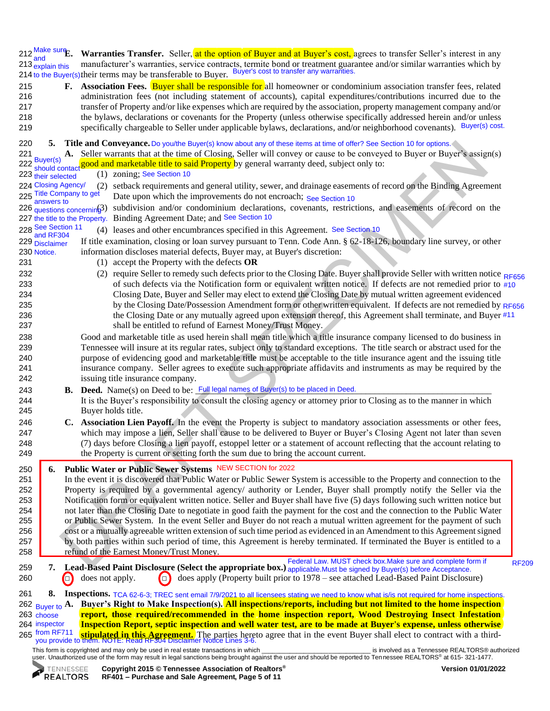**Warranties Transfer.** Seller, at the option of Buyer and at Buyer's cost, agrees to transfer Seller's interest in any 213 manufacturer's warranties, service contracts, termite bond or treatment guarantee and/or similar warranties which by 214 to the Buyer(s) their terms may be transferable to Buyer. Buyer's cost to transfer any warranties.  $212 \frac{\text{Make sure}}{\text{but } \text{but}}$ and 213 explain this

 **F. Association Fees.** Buyer shall be responsible for all homeowner or condominium association transfer fees, related administration fees (not including statement of accounts), capital expenditures/contributions incurred due to the transfer of Property and/or like expenses which are required by the association, property management company and/or the bylaws, declarations or covenants for the Property (unless otherwise specifically addressed herein and/or unless 219 specifically chargeable to Seller under applicable bylaws, declarations, and/or neighborhood covenants). Buyer(s) cost.

| 220        | 5.                                     |        |                                          | Title and Conveyance. Do you/the Buyer(s) know about any of these items at time of offer? See Section 10 for options.                                                                                                                                      |
|------------|----------------------------------------|--------|------------------------------------------|------------------------------------------------------------------------------------------------------------------------------------------------------------------------------------------------------------------------------------------------------------|
| 221        |                                        |        |                                          | A. Seller warrants that at the time of Closing, Seller will convey or cause to be conveyed to Buyer or Buyer's assign(s)                                                                                                                                   |
|            |                                        |        |                                          | 222 should contact good and marketable title to said Property by general warranty deed, subject only to:                                                                                                                                                   |
|            | 223 their selected                     |        |                                          | (1) zoning; See Section 10                                                                                                                                                                                                                                 |
|            | 224 Closing Agency/                    |        |                                          | (2) setback requirements and general utility, sewer, and drainage easements of record on the Binding Agreement                                                                                                                                             |
|            | 225 Title Company to get<br>answers to |        |                                          | Date upon which the improvements do not encroach; See Section 10                                                                                                                                                                                           |
|            |                                        |        | $226$ questions concernin $\cancel{3}$ ) | subdivision and/or condominium declarations, covenants, restrictions, and easements of record on the                                                                                                                                                       |
|            |                                        |        |                                          | 227 the title to the Property. Binding Agreement Date; and See Section 10                                                                                                                                                                                  |
|            | 228 See Section 11<br>and RF304        |        |                                          | (4) leases and other encumbrances specified in this Agreement. See Section 10                                                                                                                                                                              |
|            | 229 Disclaimer                         |        |                                          | If title examination, closing or loan survey pursuant to Tenn. Code Ann. § 62-18-126, boundary line survey, or other                                                                                                                                       |
|            | 230 Notice.                            |        |                                          | information discloses material defects, Buyer may, at Buyer's discretion:                                                                                                                                                                                  |
| 231        |                                        |        |                                          | (1) accept the Property with the defects $OR$                                                                                                                                                                                                              |
| 232        |                                        |        |                                          | (2) require Seller to remedy such defects prior to the Closing Date. Buyer shall provide Seller with written notice RF656                                                                                                                                  |
| 233        |                                        |        |                                          | of such defects via the Notification form or equivalent written notice. If defects are not remedied prior to #10                                                                                                                                           |
| 234        |                                        |        |                                          | Closing Date, Buyer and Seller may elect to extend the Closing Date by mutual written agreement evidenced                                                                                                                                                  |
| 235        |                                        |        |                                          | by the Closing Date/Possession Amendment form or other written equivalent. If defects are not remedied by RF656                                                                                                                                            |
| 236        |                                        |        |                                          | the Closing Date or any mutually agreed upon extension thereof, this Agreement shall terminate, and Buyer #11                                                                                                                                              |
| 237        |                                        |        |                                          | shall be entitled to refund of Earnest Money/Trust Money.                                                                                                                                                                                                  |
| 238<br>239 |                                        |        |                                          | Good and marketable title as used herein shall mean title which a title insurance company licensed to do business in<br>Tennessee will insure at its regular rates, subject only to standard exceptions. The title search or abstract used for the         |
| 240        |                                        |        |                                          | purpose of evidencing good and marketable title must be acceptable to the title insurance agent and the issuing title                                                                                                                                      |
| 241        |                                        |        |                                          | insurance company. Seller agrees to execute such appropriate affidavits and instruments as may be required by the                                                                                                                                          |
| 242        |                                        |        |                                          | issuing title insurance company.                                                                                                                                                                                                                           |
| 243        |                                        |        |                                          | B. Deed. Name(s) on Deed to be: Full legal names of Buyer(s) to be placed in Deed.                                                                                                                                                                         |
| 244        |                                        |        |                                          | It is the Buyer's responsibility to consult the closing agency or attorney prior to Closing as to the manner in which                                                                                                                                      |
| 245        |                                        |        |                                          | Buyer holds title.                                                                                                                                                                                                                                         |
| 246        |                                        |        |                                          | C. Association Lien Payoff. In the event the Property is subject to mandatory association assessments or other fees,                                                                                                                                       |
| 247        |                                        |        |                                          | which may impose a lien, Seller shall cause to be delivered to Buyer or Buyer's Closing Agent not later than seven                                                                                                                                         |
| 248        |                                        |        |                                          | (7) days before Closing a lien payoff, estoppel letter or a statement of account reflecting that the account relating to                                                                                                                                   |
| 249        |                                        |        |                                          | the Property is current or setting forth the sum due to bring the account current.                                                                                                                                                                         |
| 250        | 6.                                     |        |                                          | Public Water or Public Sewer Systems NEW SECTION for 2022                                                                                                                                                                                                  |
| 251        |                                        |        |                                          | In the event it is discovered that Public Water or Public Sewer System is accessible to the Property and connection to the                                                                                                                                 |
| 252        |                                        |        |                                          | Property is required by a governmental agency/ authority or Lender, Buyer shall promptly notify the Seller via the                                                                                                                                         |
| 253        |                                        |        |                                          | Notification form or equivalent written notice. Seller and Buyer shall have five (5) days following such written notice but                                                                                                                                |
| 254        |                                        |        |                                          | not later than the Closing Date to negotiate in good faith the payment for the cost and the connection to the Public Water                                                                                                                                 |
| 255        |                                        |        |                                          | or Public Sewer System. In the event Seller and Buyer do not reach a mutual written agreement for the payment of such                                                                                                                                      |
| 256        |                                        |        |                                          | cost or a mutually agreeable written extension of such time period as evidenced in an Amendment to this Agreement signed                                                                                                                                   |
| 257        |                                        |        |                                          | by both parties within such period of time, this Agreement is hereby terminated. If terminated the Buyer is entitled to a                                                                                                                                  |
| 258        |                                        |        |                                          | refund of the Earnest Money/Trust Money.                                                                                                                                                                                                                   |
| 259        | 7.                                     |        |                                          | Federal Law. MUST check box. Make sure and complete form if<br><b>RF209</b><br>Lead-Based Paint Disclosure (Select the appropriate box.) applicable. Must be signed by Buyer(s) before Acceptance.                                                         |
| 260        |                                        | $\Box$ | does not apply.                          | does apply (Property built prior to 1978 – see attached Lead-Based Paint Disclosure)<br>$\Box$                                                                                                                                                             |
|            | 8.                                     |        |                                          |                                                                                                                                                                                                                                                            |
| 261        | 262 Buyer to $\mathbf{A}$ .            |        |                                          | Inspections. TCA 62-6-3; TREC sent email 7/9/2021 to all licensees stating we need to know what is/is not required for home inspections.<br>Buyer's Right to Make Inspection(s). All inspections/reports, including but not limited to the home inspection |
|            | 263 choose                             |        |                                          | report, those required/recommended in the home inspection report, Wood Destroying Insect Infestation                                                                                                                                                       |

This form is copyrighted and may only be used in real estate transactions in which \_\_\_\_\_\_\_\_\_\_\_\_\_\_\_\_\_\_\_\_\_\_\_\_\_\_\_\_\_\_\_ is involved as a Tennessee REALTORS® authorized 265 <sup>from RF/11</sup> **stipulated in this Agreement.** The parties hereto agree that in the event Buyer shall elect to contract with a third-<br>you provide to them. NOTE: Read RF304 Disclaimer Notice Lines 3-6. 265 from RF711

264 **Inspection Report, septic inspection and well water test, are to be made at Buyer's expense, unless otherwise** 

user. Unauthorized use of the form may result in legal sanctions being brought against the user and should be reported to Tennessee REALTORS® at 615- 321-1477.



choose 264 inspector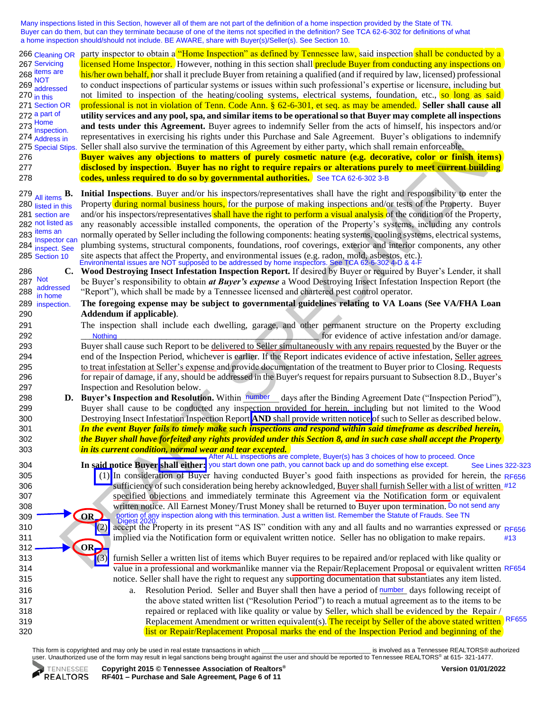Many inspections listed in this Section, however all of them are not part of the definition of a home inspection provided by the State of TN. Buyer can do them, but can they terminate because of one of the items not specified in the definition? See TCA 62-6-302 for definitions of what a home inspection should/should not include. BE AWARE, share with Buyer(s)/Seller(s). See Section 10.

Since Shine and the boundary interesting with the Margonal by eight and solid remain enforces by the particular the control interesting with the specific specific terms of the particular terms of the control interesting i party inspector to obtain a "Home Inspection" as defined by Tennessee law, said inspection shall be conducted by a licensed Home Inspector. However, nothing in this section shall preclude Buyer from conducting any inspections on his/her own behalf, nor shall it preclude Buyer from retaining a qualified (and if required by law, licensed) professional to conduct inspections of particular systems or issues within such professional's expertise or licensure, including but not limited to inspection of the heating/cooling systems, electrical systems, foundation, etc., so long as said 271 professional is not in violation of Tenn. Code Ann. § 62-6-301, et seq. as may be amended. **Seller shall cause all**  272 **utility services and any pool, spa, and similar items to be operational so that Buyer may complete all inspections**  273 **bookstand tests under this Agreement.** Buyer agrees to indemnify Seller from the acts of himself, his inspectors and/or 274 representatives in exercising his rights under this Purchase and Sale Agreement. Buyer's obligations to indemnify Seller shall also survive the termination of this Agreement by either party, which shall remain enforceable. 276 **Buyer waives any objections to matters of purely cosmetic nature (e.g. decorative, color or finish items)**  277 **disclosed by inspection. Buyer has no right to require repairs or alterations purely to meet current building**  278 **codes, unless required to do so by governmental authorities.**  See TCA 62-6-302 3-B 279 **B. Initial Inspections**. Buyer and/or his inspectors/representatives shall have the right and responsibility to enter the Property during normal business hours, for the purpose of making inspections and/or tests of the Property. Buyer and/or his inspectors/representatives shall have the right to perform a visual analysis of the condition of the Property, any reasonably accessible installed components, the operation of the Property's systems, including any controls normally operated by Seller including the following components: heating systems, cooling systems, electrical systems, 284 plumbing systems, structural components, foundations, roof coverings, exterior and interior components, any other 285 Section 10 site aspects that affect the Property, and environmental issues (e.g. radon, mold, asbestos, etc.).<br>Environmental issues are NOT supposed to be addressed by home inspectors. See TCA 62-6-302 4-D & 4-F 286 **C. Wood Destroying Insect Infestation Inspection Report.** If desired by Buyer or required by Buyer's Lender, it shall 287 be Buyer's responsibility to obtain *at Buyer's expense* a Wood Destroying Insect Infestation Inspection Report (the 288  $\frac{\text{dualnessed}}{\text{in terms}}$  "Report"), which shall be made by a Tennessee licensed and chartered pest control operator. 289 **The foregoing expense may be subject to governmental guidelines relating to VA Loans (See VA/FHA Loan**  290 **Addendum if applicable)**. 291 The inspection shall include each dwelling, garage, and other permanent structure on the Property excluding 292 \_\_\_\_\_\_\_\_\_\_\_\_\_\_\_\_\_\_\_\_\_\_\_\_\_\_\_\_\_\_\_\_\_\_\_\_\_\_\_\_\_\_\_\_\_\_\_\_\_\_\_\_\_ for evidence of active infestation and/or damage. 293 Buyer shall cause such Report to be delivered to Seller simultaneously with any repairs requested by the Buyer or the 294 end of the Inspection Period, whichever is earlier. If the Report indicates evidence of active infestation, Seller agrees 295 to treat infestation at Seller's expense and provide documentation of the treatment to Buyer prior to Closing. Requests 296 for repair of damage, if any, should be addressed in the Buyer's request for repairs pursuant to Subsection 8.D., Buyer's 297 Inspection and Resolution below. 298 **D.** Buyer's Inspection and Resolution. Within number days after the Binding Agreement Date ("Inspection Period"), 299 Buyer shall cause to be conducted any inspection provided for herein, including but not limited to the Wood 300 Destroying Insect Infestation Inspection Report **AND** shall provide written notice of such to Seller as described below. 301 *In the event Buyer fails to timely make such inspections and respond within said timeframe as described herein,*  302 *the Buyer shall have forfeited any rights provided under this Section 8, and in such case shall accept the Property*  303 *in its current condition, normal wear and tear excepted.* 304 **In said notice Buyer shall either:**  you start down one path, you cannot back up and do something else except. 305 (1) In consideration of Buyer having conducted Buyer's good faith inspections as provided for herein, the RF656 306 surficiency of such consideration being hereby acknowledged, Buyer shall furnish Seller with a list of written #12 307 specified objections and immediately terminate this Agreement via the Notification form or equivalent 308 written notice. All Earnest Money/Trust Money shall be returned to Buyer upon termination. Do not send any  $309 \rightarrow \text{OR}$ 310 (2) accept the Property in its present "AS IS" condition with any and all faults and no warranties expressed or 311 implied via the Notification form or equivalent written notice. Seller has no obligation to make repairs.  $312 \longrightarrow \bigcirc$ 313 (3) furnish Seller a written list of items which Buyer requires to be repaired and/or replaced with like quality or 314 value in a professional and workmanlike manner via the Repair/Replacement Proposal or equivalent written RF654 315 notice. Seller shall have the right to request any supporting documentation that substantiates any item listed. 316 **a.** Resolution Period. Seller and Buyer shall then have a period of <u>number</u> days following receipt of 317 the above stated written list ("Resolution Period") to reach a mutual agreement as to the items to be 318 repaired or replaced with like quality or value by Seller, which shall be evidenced by the Repair / 319 Replacement Amendment or written equivalent(s). The receipt by Seller of the above stated written RF655 320 list or Repair/Replacement Proposal marks the end of the Inspection Period and beginning of the All items  $\mathbf{B}$ . 280 listed in this 281 section are 282 not listed as 283<sup>items</sup> an Inspector can 284 inspect. See 285 Section 10 266 Cleaning OR 267 Servicing 268 items are  $269 \frac{\text{NOT}}{\text{NOT}}$ addressed  $270$  in this 271 Section OR 272 a part of Home Inspection. 274 Address in 275 Special Stips. Not addressed in home 289 inspection. **Nothing** After ALL inspections are complete, Buyer(s) has 3 choices of how to proceed. Once portion of any inspection along with this termination. Just a written list. Remember the Statute of Frauds. See TN See Lines 322-323 RF656 #13

This form is copyrighted and may only be used in real estate transactions in which the magnitude of the state of the state of the state transactions in which the state of the state of the state of the state transactions in user. Unauthorized use of the form may result in legal sanctions being brought against the user and should be reported to Tennessee REALTORS® at 615- 321-1477.

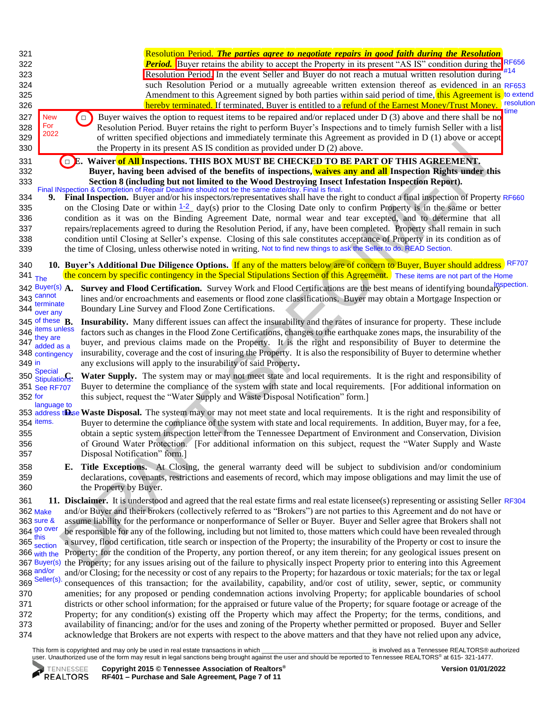| 321<br>322<br>323<br>324<br>325<br>326<br>327<br>328<br>329<br>330 | Resolution Period. The parties agree to negotiate repairs in good faith during the Resolution<br><b>Period.</b> Buyer retains the ability to accept the Property in its present "AS IS" condition during the RF656<br>Resolution Period. In the event Seller and Buyer do not reach a mutual written resolution during #14<br>such Resolution Period or a mutually agreeable written extension thereof as evidenced in an RF653<br>Amendment to this Agreement signed by both parties within said period of time, this Agreement is to extend<br>resolution<br>hereby terminated. If terminated, Buyer is entitled to a refund of the Earnest Money/Trust Money.<br>time<br>Buyer waives the option to request items to be repaired and/or replaced under $D(3)$ above and there shall be no<br><b>New</b><br>$\Box$<br>For<br>Resolution Period. Buyer retains the right to perform Buyer's Inspections and to timely furnish Seller with a list<br>2022<br>of written specified objections and immediately terminate this Agreement as provided in $D(1)$ above or accept<br>the Property in its present AS IS condition as provided under D (2) above.                                                                                                                                                                                                                                                                                                                                                                                                                                                                                                                                                                                                                                                                                                                                                                                                                                         |
|--------------------------------------------------------------------|---------------------------------------------------------------------------------------------------------------------------------------------------------------------------------------------------------------------------------------------------------------------------------------------------------------------------------------------------------------------------------------------------------------------------------------------------------------------------------------------------------------------------------------------------------------------------------------------------------------------------------------------------------------------------------------------------------------------------------------------------------------------------------------------------------------------------------------------------------------------------------------------------------------------------------------------------------------------------------------------------------------------------------------------------------------------------------------------------------------------------------------------------------------------------------------------------------------------------------------------------------------------------------------------------------------------------------------------------------------------------------------------------------------------------------------------------------------------------------------------------------------------------------------------------------------------------------------------------------------------------------------------------------------------------------------------------------------------------------------------------------------------------------------------------------------------------------------------------------------------------------------------------------------------------------------------------------------------------------------------------|
| 331<br>332<br>333                                                  | Waiver of All Inspections. THIS BOX MUST BE CHECKED TO BE PART OF THIS AGREEMENT.<br>E.<br>Buyer, having been advised of the benefits of inspections, waives any and all Inspection Rights under this<br>Section 8 (including but not limited to the Wood Destroying Insect Infestation Inspection Report).<br>Final INspection & Completion of Repair Deadline should not be the same date/day. Final is final.                                                                                                                                                                                                                                                                                                                                                                                                                                                                                                                                                                                                                                                                                                                                                                                                                                                                                                                                                                                                                                                                                                                                                                                                                                                                                                                                                                                                                                                                                                                                                                                  |
| 334<br>335<br>336<br>337<br>338<br>339                             | Final Inspection. Buyer and/or his inspectors/representatives shall have the right to conduct a final inspection of Property RF660<br>9.<br>on the Closing Date or within $1-2$ day(s) prior to the Closing Date only to confirm Property is in the same or better<br>condition as it was on the Binding Agreement Date, normal wear and tear excepted, and to determine that all<br>repairs/replacements agreed to during the Resolution Period, if any, have been completed. Property shall remain in such<br>condition until Closing at Seller's expense. Closing of this sale constitutes acceptance of Property in its condition as of<br>the time of Closing, unless otherwise noted in writing. Not to find new things to ask the Seller to do. READ Section.                                                                                                                                                                                                                                                                                                                                                                                                                                                                                                                                                                                                                                                                                                                                                                                                                                                                                                                                                                                                                                                                                                                                                                                                                              |
| 340                                                                | 10. Buyer's Additional Due Diligence Options. If any of the matters below are of concern to Buyer, Buyer should address RF707                                                                                                                                                                                                                                                                                                                                                                                                                                                                                                                                                                                                                                                                                                                                                                                                                                                                                                                                                                                                                                                                                                                                                                                                                                                                                                                                                                                                                                                                                                                                                                                                                                                                                                                                                                                                                                                                     |
| 341 <sub>The</sub>                                                 | the concern by specific contingency in the Special Stipulations Section of this Agreement. These items are not part of the Home<br>Survey and Flood Certification. Survey Work and Flood Certifications are the best means of identifying boundary<br>$342$ Buyer(s) $A$ .<br>343 <sup>cannot</sup><br>lines and/or encroachments and easements or flood zone classifications. Buyer may obtain a Mortgage Inspection or<br>terminate<br>344 <mark>terrin.</mark><br><mark>over any</mark><br>Boundary Line Survey and Flood Zone Certifications.                                                                                                                                                                                                                                                                                                                                                                                                                                                                                                                                                                                                                                                                                                                                                                                                                                                                                                                                                                                                                                                                                                                                                                                                                                                                                                                                                                                                                                                 |
| 349 in                                                             | 345 of these $\mathbf{B}$ .<br>Insurability. Many different issues can affect the insurability and the rates of insurance for property. These include<br>346 items unless<br>factors such as changes in the Flood Zone Certifications, changes to the earthquake zones maps, the insurability of the<br>$347$ they are<br>$347$ added as a<br>buyer, and previous claims made on the Property. It is the right and responsibility of Buyer to determine the<br>insurability, coverage and the cost of insuring the Property. It is also the responsibility of Buyer to determine whether<br>348 contingency<br>any exclusions will apply to the insurability of said Property.<br>350 Special<br>350 Stipulations:<br>Water Supply. The system may or may not meet state and local requirements. It is the right and responsibility of                                                                                                                                                                                                                                                                                                                                                                                                                                                                                                                                                                                                                                                                                                                                                                                                                                                                                                                                                                                                                                                                                                                                                            |
| 352 for                                                            | Buyer to determine the compliance of the system with state and local requirements. [For additional information on<br>351 See RF707<br>this subject, request the "Water Supply and Waste Disposal Notification" form.]<br>language to                                                                                                                                                                                                                                                                                                                                                                                                                                                                                                                                                                                                                                                                                                                                                                                                                                                                                                                                                                                                                                                                                                                                                                                                                                                                                                                                                                                                                                                                                                                                                                                                                                                                                                                                                              |
| 355<br>356<br>357                                                  | 353 address these Waste Disposal. The system may or may not meet state and local requirements. It is the right and responsibility of<br>354 items.<br>Buyer to determine the compliance of the system with state and local requirements. In addition, Buyer may, for a fee,<br>obtain a septic system inspection letter from the Tennessee Department of Environment and Conservation, Division<br>of Ground Water Protection. [For additional information on this subject, request the "Water Supply and Waste<br>Disposal Notification" form.]                                                                                                                                                                                                                                                                                                                                                                                                                                                                                                                                                                                                                                                                                                                                                                                                                                                                                                                                                                                                                                                                                                                                                                                                                                                                                                                                                                                                                                                  |
| 358<br>359<br>360                                                  | Title Exceptions. At Closing, the general warranty deed will be subject to subdivision and/or condominium<br>Е.<br>declarations, covenants, restrictions and easements of record, which may impose obligations and may limit the use of<br>the Property by Buyer.                                                                                                                                                                                                                                                                                                                                                                                                                                                                                                                                                                                                                                                                                                                                                                                                                                                                                                                                                                                                                                                                                                                                                                                                                                                                                                                                                                                                                                                                                                                                                                                                                                                                                                                                 |
| 361<br>370<br>371<br>372<br>373<br>374                             | 11. Disclaimer. It is understood and agreed that the real estate firms and real estate licensee(s) representing or assisting Seller RF304<br>and/or Buyer and their brokers (collectively referred to as "Brokers") are not parties to this Agreement and do not have or<br>362 Make<br>363 sure &<br>assume liability for the performance or nonperformance of Seller or Buyer. Buyer and Seller agree that Brokers shall not<br>364 go over<br>be responsible for any of the following, including but not limited to, those matters which could have been revealed through<br>so)this<br>365 <sub>section</sub><br>a survey, flood certification, title search or inspection of the Property; the insurability of the Property or cost to insure the<br>Property; for the condition of the Property, any portion thereof, or any item therein; for any geological issues present on<br>366 with the<br>the Property; for any issues arising out of the failure to physically inspect Property prior to entering into this Agreement<br>367 Buyer(s)<br>368 and/or<br>and/or Closing; for the necessity or cost of any repairs to the Property; for hazardous or toxic materials; for the tax or legal<br>369 Seller(s).<br>consequences of this transaction; for the availability, capability, and/or cost of utility, sewer, septic, or community<br>amenities; for any proposed or pending condemnation actions involving Property; for applicable boundaries of school<br>districts or other school information; for the appraised or future value of the Property; for square footage or acreage of the<br>Property; for any condition(s) existing off the Property which may affect the Property; for the terms, conditions, and<br>availability of financing; and/or for the uses and zoning of the Property whether permitted or proposed. Buyer and Seller<br>acknowledge that Brokers are not experts with respect to the above matters and that they have not relied upon any advice, |

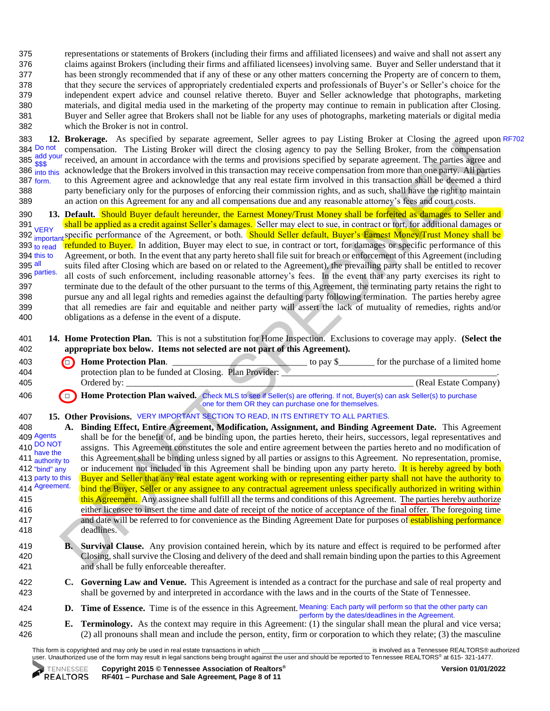representations or statements of Brokers (including their firms and affiliated licensees) and waive and shall not assert any claims against Brokers (including their firms and affiliated licensees) involving same. Buyer and Seller understand that it has been strongly recommended that if any of these or any other matters concerning the Property are of concern to them, that they secure the services of appropriately credentialed experts and professionals of Buyer's or Seller's choice for the independent expert advice and counsel relative thereto. Buyer and Seller acknowledge that photographs, marketing materials, and digital media used in the marketing of the property may continue to remain in publication after Closing. Buyer and Seller agree that Brokers shall not be liable for any uses of photographs, marketing materials or digital media which the Broker is not in control.

383 **12. Brokerage.** As specified by separate agreement, Seller agrees to pay Listing Broker at Closing the agreed upon RF702384 compensation. The Listing Broker will direct the closing agency to pay the Selling Broker, from the compensation 385 agreement. The parties agree and secondance with the terms and provisions specified by separate agreement. The parties agree and acknowledge that the Brokers involved in this transaction may receive compensation from more than one party. All parties 387 to this Agreement agree and acknowledge that any real estate firm involved in this transaction shall be deemed a third 388 party beneficiary only for the purposes of enforcing their commission rights, and as such, shall have the right to maintain 389 an action on this Agreement for any and all compensations due and any reasonable attorney's fees and court costs. 384 Do not add your \$\$\$ 386 into this 387 form.

390 **13. Default.** Should Buyer default hereunder, the Earnest Money/Trust Money shall be forfeited as damages to Seller and 391 shall be applied as a credit against Seller's damages. Seller may elect to sue, in contract or tort, for additional damages or 392 innortant specific performance of the Agreement, or both. Should Seller default, Buyer's Earnest Money/Trust Money shall be refunded to Buyer. In addition, Buyer may elect to sue, in contract or tort, for damages or specific performance of this Agreement, or both. In the event that any party hereto shall file suit for breach or enforcement of this Agreement (including suits filed after Closing which are based on or related to the Agreement), the prevailing party shall be entitled to recover all costs of such enforcement, including reasonable attorney's fees. In the event that any party exercises its right to 397 terminate due to the default of the other pursuant to the terms of this Agreement, the terminating party retains the right to 398 pursue any and all legal rights and remedies against the defaulting party following termination. The parties hereby agree 399 that all remedies are fair and equitable and neither party will assert the lack of mutuality of remedies, rights and/or 400 obligations as a defense in the event of a dispute. **VERY** important  $393$  to read 394 this to 395 all 396 parties.

401 **14. Home Protection Plan.** This is not a substitution for Home Inspection. Exclusions to coverage may apply. **(Select the**  402 **appropriate box below. Items not selected are not part of this Agreement).**

| 403 | <b>(a)</b> Home Protection Plan.                        | for the purchase of a limited home<br>to pay S |
|-----|---------------------------------------------------------|------------------------------------------------|
| 404 | protection plan to be funded at Closing. Plan Provider: |                                                |
| 405 | Ordered by:                                             | (Real Estate Company)                          |

<sup>406</sup> **if it is a Trian Brotection Plan waived.** Check MLS to see if Seller(s) are offering. If not, Buyer(s) can ask Seller(s) to purchase one for them OR they can purchase one for themselves.

## 407 **15. Other Provisions.** VERY IMPORTANT SECTION TO READ, IN ITS ENTIRETY TO ALL PARTIES.

umernation. The Lating health as a continue of the term and provides specified by separate agreement. The provides also specified by separate agreement of the state from the other specified by separate agreement of the st 408 **A. Binding Effect, Entire Agreement, Modification, Assignment, and Binding Agreement Date.** This Agreement shall be for the benefit of, and be binding upon, the parties hereto, their heirs, successors, legal representatives and assigns. This Agreement constitutes the sole and entire agreement between the parties hereto and no modification of this Agreement shall be binding unless signed by all parties or assigns to this Agreement. No representation, promise, or inducement not included in this Agreement shall be binding upon any party hereto. It is hereby agreed by both Buyer and Seller that any real estate agent working with or representing either party shall not have the authority to bind the Buyer, Seller or any assignee to any contractual agreement unless specifically authorized in writing within **415** this Agreement. Any assignee shall fulfill all the terms and conditions of this Agreement. The parties hereby authorize 416 either licensee to insert the time and date of receipt of the notice of acceptance of the final offer. The foregoing time 417 and date will be referred to for convenience as the Binding Agreement Date for purposes of establishing performance 418 deadlines. 409 Agents 410 DO NOT have the 411 authority to 412 "bind" any 413 party to this 414 Agreement.

- 419 **B. Survival Clause.** Any provision contained herein, which by its nature and effect is required to be performed after 420 Closing, shall survive the Closing and delivery of the deed and shall remain binding upon the parties to this Agreement 421 and shall be fully enforceable thereafter.
- 422 **C. Governing Law and Venue.** This Agreement is intended as a contract for the purchase and sale of real property and 423 shall be governed by and interpreted in accordance with the laws and in the courts of the State of Tennessee.
- 424 **D. Time of Essence.** Time is of the essence in this Agreement. Meaning: Each party will perform so that the other party can perform by the dates/deadlines in the Agreement.
- 425 **E. Terminology.** As the context may require in this Agreement: (1) the singular shall mean the plural and vice versa; 426 (2) all pronouns shall mean and include the person, entity, firm or corporation to which they relate; (3) the masculine

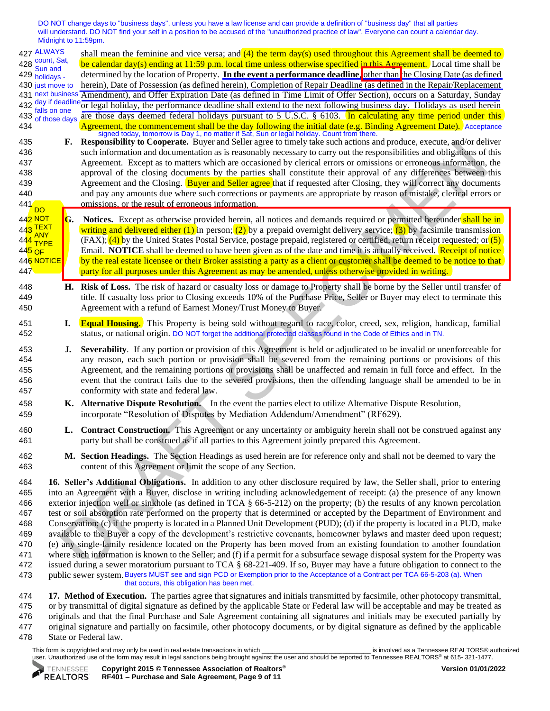DO NOT change days to "business days", unless you have a law license and can provide a definition of "business day" that all parties will understand. DO NOT find your self in a position to be accused of the "unauthorized practice of law". Everyone can count a calendar day. Midnight to 11:59pm.

F. Responsible to compense the byter and Select agree to lumply at seat actual compense the separation and decompense to the separation and the separation of the separation of the separation of the separation of the separ shall mean the feminine and vice versa; and  $(4)$  the term day(s) used throughout this Agreement shall be deemed to 428  $\frac{\text{count}}{\text{Sum}}$  be calendar day(s) ending at 11:59 p.m. local time unless otherwise specified in this Agreement. Local time shall be determined by the location of Property. **In the event a performance deadline**, other than the Closing Date (as defined herein), Date of Possession (as defined herein), Completion of Repair Deadline (as defined in the Repair/Replacement Amendment), and Offer Expiration Date (as defined in Time Limit of Offer Section), occurs on a Saturday, Sunday 432 or legal holiday, the performance deadline shall extend to the next following business day. Holidays as used herein are those days deemed federal holidays pursuant to 5 U.S.C. § 6103. In calculating any time period under this 434 Agreement, the commencement shall be the day following the initial date (e.g. Binding Agreement Date). Acceptance 435 **F. Responsibility to Cooperate.** Buyer and Seller agree to timely take such actions and produce, execute, and/or deliver 436 such information and documentation as is reasonably necessary to carry out the responsibilities and obligations of this 437 Agreement. Except as to matters which are occasioned by clerical errors or omissions or erroneous information, the 438 approval of the closing documents by the parties shall constitute their approval of any differences between this 439 Agreement and the Closing. Buyer and Seller agree that if requested after Closing, they will correct any documents 440 and pay any amounts due where such corrections or payments are appropriate by reason of mistake, clerical errors or 441<sup>1</sup> omissions, or the result of erroneous information. G. Notices. Except as otherwise provided herein, all notices and demands required or permitted hereunder shall be in writing and delivered either (1) in person; (2) by a prepaid overnight delivery service; (3) by facsimile transmission  $(FAX)$ ;  $(4)$  by the United States Postal Service, postage prepaid, registered or certified, return receipt requested; or  $(5)$ Email. **NOTICE** shall be deemed to have been given as of the date and time it is actually received. Receipt of notice by the real estate licensee or their Broker assisting a party as a client or customer shall be deemed to be notice to that **447 party for all purposes under this Agreement as may be amended, unless otherwise provided in writing.** 448 **H. Risk of Loss.** The risk of hazard or casualty loss or damage to Property shall be borne by the Seller until transfer of 449 title. If casualty loss prior to Closing exceeds 10% of the Purchase Price, Seller or Buyer may elect to terminate this 450 Agreement with a refund of Earnest Money/Trust Money to Buyer. 427 ALWAYS count, Sat, Sun and 429 holidays -430 just move to 431 next business 432 day if deadline falls on one 433 of those days DO 44<mark>2 NOT</mark> TEXT ANY TYPE 445 OF 446 NOTICE signed today, tomorrow is Day 1, no matter if Sat, Sun or legal holiday. Count from there.

- 451 **I. Equal Housing.** This Property is being sold without regard to race, color, creed, sex, religion, handicap, familial 452 status, or national origin. DO NOT forget the additional protected classes found in the Code of Ethics and in TN.
- 453 **J. Severability**. If any portion or provision of this Agreement is held or adjudicated to be invalid or unenforceable for 454 any reason, each such portion or provision shall be severed from the remaining portions or provisions of this 455 Agreement, and the remaining portions or provisions shall be unaffected and remain in full force and effect. In the 456 event that the contract fails due to the severed provisions, then the offending language shall be amended to be in 457 conformity with state and federal law.
- 458 **K. Alternative Dispute Resolution.** In the event the parties elect to utilize Alternative Dispute Resolution, 459 incorporate "Resolution of Disputes by Mediation Addendum/Amendment" (RF629).
- 460 **L. Contract Construction.** This Agreement or any uncertainty or ambiguity herein shall not be construed against any 461 party but shall be construed as if all parties to this Agreement jointly prepared this Agreement.
- 462 **M. Section Headings.** The Section Headings as used herein are for reference only and shall not be deemed to vary the 463 content of this Agreement or limit the scope of any Section.

 **16. Seller's Additional Obligations.** In addition to any other disclosure required by law, the Seller shall, prior to entering into an Agreement with a Buyer, disclose in writing including acknowledgement of receipt: (a) the presence of any known exterior injection well or sinkhole (as defined in TCA § 66-5-212) on the property; (b) the results of any known percolation test or soil absorption rate performed on the property that is determined or accepted by the Department of Environment and Conservation; (c) if the property is located in a Planned Unit Development (PUD); (d) if the property is located in a PUD, make available to the Buyer a copy of the development's restrictive covenants, homeowner bylaws and master deed upon request; (e) any single-family residence located on the Property has been moved from an existing foundation to another foundation where such information is known to the Seller; and (f) if a permit for a subsurface sewage disposal system for the Property was 472 issued during a sewer moratorium pursuant to TCA  $\S$  68-221-409. If so, Buyer may have a future obligation to connect to the 473 public sewer system. Buyers MUST see and sign PCD or Exemption prior to the Acceptance of a Contract per TCA 66-5-203 (a). When that occurs, this obligation has been met.

 **17. Method of Execution.** The parties agree that signatures and initials transmitted by facsimile, other photocopy transmittal, or by transmittal of digital signature as defined by the applicable State or Federal law will be acceptable and may be treated as originals and that the final Purchase and Sale Agreement containing all signatures and initials may be executed partially by original signature and partially on facsimile, other photocopy documents, or by digital signature as defined by the applicable State or Federal law.

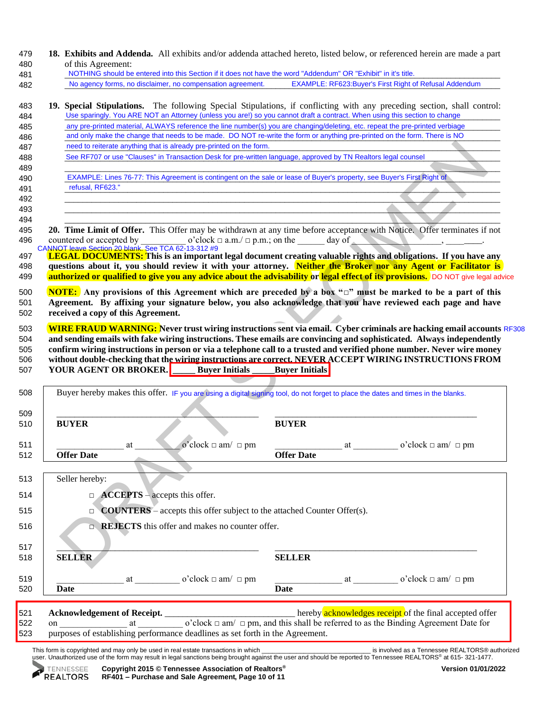| 479<br>480<br>481 | 18. Exhibits and Addenda. All exhibits and/or addenda attached hereto, listed below, or referenced herein are made a part<br>of this Agreement:<br>NOTHING should be entered into this Section if it does not have the word "Addendum" OR "Exhibit" in it's title. |                       |                                                                                                                                                                                                                                |                                                                                               |                                                                                                             |  |  |  |  |  |  |
|-------------------|--------------------------------------------------------------------------------------------------------------------------------------------------------------------------------------------------------------------------------------------------------------------|-----------------------|--------------------------------------------------------------------------------------------------------------------------------------------------------------------------------------------------------------------------------|-----------------------------------------------------------------------------------------------|-------------------------------------------------------------------------------------------------------------|--|--|--|--|--|--|
| 482               | No agency forms, no disclaimer, no compensation agreement.                                                                                                                                                                                                         |                       |                                                                                                                                                                                                                                | <b>EXAMPLE: RF623: Buyer's First Right of Refusal Addendum</b>                                |                                                                                                             |  |  |  |  |  |  |
| 483<br>484        | 19. Special Stipulations. The following Special Stipulations, if conflicting with any preceding section, shall control:<br>Use sparingly. You ARE NOT an Attorney (unless you are!) so you cannot draft a contract. When using this section to change              |                       |                                                                                                                                                                                                                                |                                                                                               |                                                                                                             |  |  |  |  |  |  |
| 485               | any pre-printed material, ALWAYS reference the line number(s) you are changing/deleting, etc. repeat the pre-printed verbiage                                                                                                                                      |                       |                                                                                                                                                                                                                                |                                                                                               |                                                                                                             |  |  |  |  |  |  |
| 486               | and only make the change that needs to be made. DO NOT re-write the form or anything pre-printed on the form. There is NO                                                                                                                                          |                       |                                                                                                                                                                                                                                |                                                                                               |                                                                                                             |  |  |  |  |  |  |
| 487               | need to reiterate anything that is already pre-printed on the form.                                                                                                                                                                                                |                       |                                                                                                                                                                                                                                |                                                                                               |                                                                                                             |  |  |  |  |  |  |
| 488               | See RF707 or use "Clauses" in Transaction Desk for pre-written language, approved by TN Realtors legal counsel                                                                                                                                                     |                       |                                                                                                                                                                                                                                |                                                                                               |                                                                                                             |  |  |  |  |  |  |
| 489<br>490        | EXAMPLE: Lines 76-77: This Agreement is contingent on the sale or lease of Buyer's property, see Buyer's First Right of                                                                                                                                            |                       |                                                                                                                                                                                                                                |                                                                                               |                                                                                                             |  |  |  |  |  |  |
| 491               | refusal, RF623."                                                                                                                                                                                                                                                   |                       |                                                                                                                                                                                                                                |                                                                                               |                                                                                                             |  |  |  |  |  |  |
| 492               |                                                                                                                                                                                                                                                                    |                       |                                                                                                                                                                                                                                |                                                                                               |                                                                                                             |  |  |  |  |  |  |
| 493               |                                                                                                                                                                                                                                                                    |                       |                                                                                                                                                                                                                                |                                                                                               |                                                                                                             |  |  |  |  |  |  |
| 494               |                                                                                                                                                                                                                                                                    |                       |                                                                                                                                                                                                                                |                                                                                               |                                                                                                             |  |  |  |  |  |  |
| 495               | 20. Time Limit of Offer. This Offer may be withdrawn at any time before acceptance with Notice. Offer terminates if not                                                                                                                                            |                       |                                                                                                                                                                                                                                |                                                                                               |                                                                                                             |  |  |  |  |  |  |
| 496               | o'clock $\Box$ a.m./ $\Box$ p.m.; on the day of<br>countered or accepted by<br>CANNOT leave Section 20 blank. See TCA 62-13-312 #9                                                                                                                                 |                       |                                                                                                                                                                                                                                |                                                                                               |                                                                                                             |  |  |  |  |  |  |
| 497               | <b>LEGAL DOCUMENTS:</b> This is an important legal document creating valuable rights and obligations. If you have any                                                                                                                                              |                       |                                                                                                                                                                                                                                |                                                                                               |                                                                                                             |  |  |  |  |  |  |
| 498               | questions about it, you should review it with your attorney. Neither the Broker nor any Agent or Facilitator is                                                                                                                                                    |                       |                                                                                                                                                                                                                                |                                                                                               |                                                                                                             |  |  |  |  |  |  |
| 499               | authorized or qualified to give you any advice about the advisability or legal effect of its provisions. DO NOT give legal advice                                                                                                                                  |                       |                                                                                                                                                                                                                                |                                                                                               |                                                                                                             |  |  |  |  |  |  |
| 500               | <b>NOTE:</b> Any provisions of this Agreement which are preceded by a box " $\Box$ " must be marked to be a part of this                                                                                                                                           |                       |                                                                                                                                                                                                                                |                                                                                               |                                                                                                             |  |  |  |  |  |  |
| 501               |                                                                                                                                                                                                                                                                    |                       |                                                                                                                                                                                                                                |                                                                                               |                                                                                                             |  |  |  |  |  |  |
|                   | received a copy of this Agreement.                                                                                                                                                                                                                                 |                       |                                                                                                                                                                                                                                |                                                                                               | Agreement. By affixing your signature below, you also acknowledge that you have reviewed each page and have |  |  |  |  |  |  |
| 502               |                                                                                                                                                                                                                                                                    |                       |                                                                                                                                                                                                                                |                                                                                               |                                                                                                             |  |  |  |  |  |  |
|                   |                                                                                                                                                                                                                                                                    |                       |                                                                                                                                                                                                                                |                                                                                               |                                                                                                             |  |  |  |  |  |  |
| 503               | <b>WIRE FRAUD WARNING:</b> Never trust wiring instructions sent via email. Cyber criminals are hacking email accounts RF308                                                                                                                                        |                       |                                                                                                                                                                                                                                |                                                                                               |                                                                                                             |  |  |  |  |  |  |
| 504<br>505        | and sending emails with fake wiring instructions. These emails are convincing and sophisticated. Always independently<br>confirm wiring instructions in person or via a telephone call to a trusted and verified phone number. Never wire money                    |                       |                                                                                                                                                                                                                                |                                                                                               |                                                                                                             |  |  |  |  |  |  |
| 506               | without double-checking that the wiring instructions are correct. NEVER ACCEPT WIRING INSTRUCTIONS FROM                                                                                                                                                            |                       |                                                                                                                                                                                                                                |                                                                                               |                                                                                                             |  |  |  |  |  |  |
| 507               | <b>YOUR AGENT OR BROKER.</b><br><b>Buyer Initials</b>                                                                                                                                                                                                              | <b>Buyer Initials</b> |                                                                                                                                                                                                                                |                                                                                               |                                                                                                             |  |  |  |  |  |  |
| 508               | Buyer hereby makes this offer. IF you are using a digital signing tool, do not forget to place the dates and times in the blanks.                                                                                                                                  |                       |                                                                                                                                                                                                                                |                                                                                               |                                                                                                             |  |  |  |  |  |  |
|                   |                                                                                                                                                                                                                                                                    |                       |                                                                                                                                                                                                                                |                                                                                               |                                                                                                             |  |  |  |  |  |  |
| 509<br>510        | <b>BUYER</b>                                                                                                                                                                                                                                                       | <b>BUYER</b>          |                                                                                                                                                                                                                                |                                                                                               |                                                                                                             |  |  |  |  |  |  |
|                   |                                                                                                                                                                                                                                                                    |                       |                                                                                                                                                                                                                                |                                                                                               |                                                                                                             |  |  |  |  |  |  |
| 511               | o'clock $\Box$ am/ $\Box$ pm<br>at                                                                                                                                                                                                                                 |                       | at                                                                                                                                                                                                                             | o'clock $\Box$ am/ $\Box$ pm                                                                  |                                                                                                             |  |  |  |  |  |  |
| 512               | <b>Offer Date</b>                                                                                                                                                                                                                                                  | <b>Offer Date</b>     |                                                                                                                                                                                                                                |                                                                                               |                                                                                                             |  |  |  |  |  |  |
|                   |                                                                                                                                                                                                                                                                    |                       |                                                                                                                                                                                                                                |                                                                                               |                                                                                                             |  |  |  |  |  |  |
| 513               | Seller hereby:                                                                                                                                                                                                                                                     |                       |                                                                                                                                                                                                                                |                                                                                               |                                                                                                             |  |  |  |  |  |  |
| 514               |                                                                                                                                                                                                                                                                    |                       |                                                                                                                                                                                                                                |                                                                                               |                                                                                                             |  |  |  |  |  |  |
| 515               | $\Box$ <b>ACCEPTS</b> – accepts this offer.<br><b>COUNTERS</b> – accepts this offer subject to the attached Counter Offer(s).<br>$\Box$                                                                                                                            |                       |                                                                                                                                                                                                                                |                                                                                               |                                                                                                             |  |  |  |  |  |  |
|                   |                                                                                                                                                                                                                                                                    |                       |                                                                                                                                                                                                                                |                                                                                               |                                                                                                             |  |  |  |  |  |  |
| 516               | $\Box$ <b>REJECTS</b> this offer and makes no counter offer.                                                                                                                                                                                                       |                       |                                                                                                                                                                                                                                |                                                                                               |                                                                                                             |  |  |  |  |  |  |
|                   |                                                                                                                                                                                                                                                                    |                       |                                                                                                                                                                                                                                |                                                                                               |                                                                                                             |  |  |  |  |  |  |
| 517               |                                                                                                                                                                                                                                                                    |                       |                                                                                                                                                                                                                                |                                                                                               |                                                                                                             |  |  |  |  |  |  |
| 518               | <b>SELLER</b>                                                                                                                                                                                                                                                      | <b>SELLER</b>         |                                                                                                                                                                                                                                |                                                                                               |                                                                                                             |  |  |  |  |  |  |
| 519               | o'clock $\Box$ am/ $\Box$ pm<br>at and the state of the state of the state of the state of the state of the state of the state of the state of the state of the state of the state of the state of the state of the state of the state of the state of the stat    |                       | at the contract of the contract of the contract of the contract of the contract of the contract of the contract of the contract of the contract of the contract of the contract of the contract of the contract of the contrac | o'clock $\Box$ am/ $\Box$ pm                                                                  |                                                                                                             |  |  |  |  |  |  |
| 520               | <b>Date</b>                                                                                                                                                                                                                                                        | <b>Date</b>           |                                                                                                                                                                                                                                |                                                                                               |                                                                                                             |  |  |  |  |  |  |
|                   |                                                                                                                                                                                                                                                                    |                       |                                                                                                                                                                                                                                |                                                                                               |                                                                                                             |  |  |  |  |  |  |
| 521               | <b>Acknowledgement of Receipt.</b>                                                                                                                                                                                                                                 |                       |                                                                                                                                                                                                                                | hereby acknowledges receipt of the final accepted offer                                       |                                                                                                             |  |  |  |  |  |  |
| 522<br>523        | at<br>on<br>purposes of establishing performance deadlines as set forth in the Agreement.                                                                                                                                                                          |                       |                                                                                                                                                                                                                                | o'clock $\Box$ am/ $\Box$ pm, and this shall be referred to as the Binding Agreement Date for |                                                                                                             |  |  |  |  |  |  |